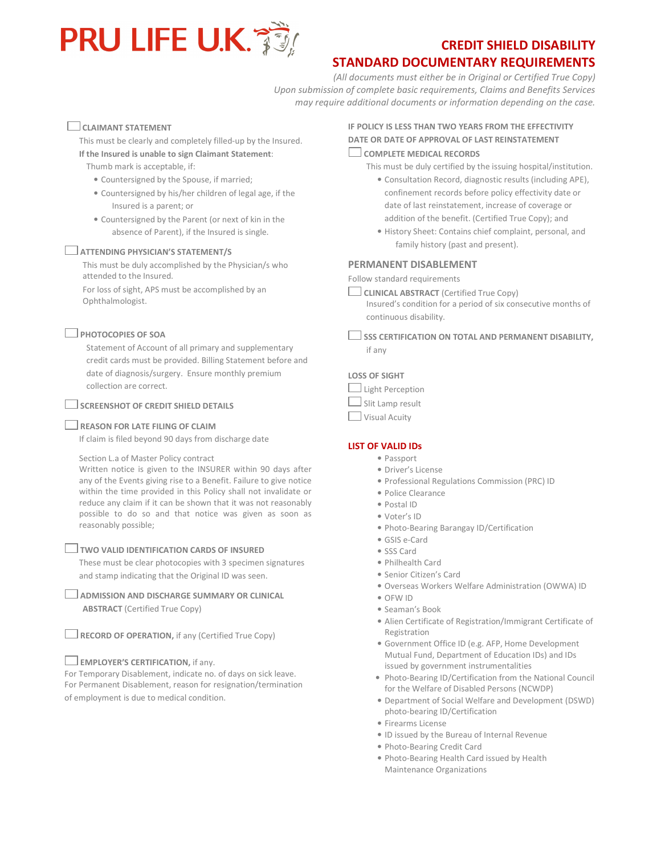

# STANDARD DOCUMENTARY REQUIREMENTS

(All documents must either be in Original or Certified True Copy) Upon submission of complete basic requirements, Claims and Benefits Services may require additional documents or information depending on the case.

# CLAIMANT STATEMENT

This must be clearly and completely filled-up by the Insured. If the Insured is unable to sign Claimant Statement:

Thumb mark is acceptable, if:

- Countersigned by the Spouse, if married;
- Countersigned by his/her children of legal age, if the Insured is a parent; or
- Countersigned by the Parent (or next of kin in the absence of Parent), if the Insured is single.

# **ATTENDING PHYSICIAN'S STATEMENT/S**

This must be duly accomplished by the Physician/s who attended to the Insured.

For loss of sight, APS must be accomplished by an Ophthalmologist.

# $\Box$  PHOTOCOPIES OF SOA

Statement of Account of all primary and supplementary credit cards must be provided. Billing Statement before and date of diagnosis/surgery. Ensure monthly premium collection are correct.

# $\Box$  SCREENSHOT OF CREDIT SHIELD DETAILS

# REASON FOR LATE FILING OF CLAIM

If claim is filed beyond 90 days from discharge date

Section L.a of Master Policy contract

Written notice is given to the INSURER within 90 days after any of the Events giving rise to a Benefit. Failure to give notice within the time provided in this Policy shall not invalidate or reduce any claim if it can be shown that it was not reasonably possible to do so and that notice was given as soon as reasonably possible;

# $\Box$  TWO VALID IDENTIFICATION CARDS OF INSURED

These must be clear photocopies with 3 specimen signatures and stamp indicating that the Original ID was seen.

**LADMISSION AND DISCHARGE SUMMARY OR CLINICAL** ABSTRACT (Certified True Copy)

 $\Box$  RECORD OF OPERATION, if any (Certified True Copy)

# $\Box$  EMPLOYER'S CERTIFICATION, if any.

For Temporary Disablement, indicate no. of days on sick leave. For Permanent Disablement, reason for resignation/termination of employment is due to medical condition.

# IF POLICY IS LESS THAN TWO YEARS FROM THE EFFECTIVITY DATE OR DATE OF APPROVAL OF LAST REINSTATEMENT

# COMPLETE MEDICAL RECORDS

This must be duly certified by the issuing hospital/institution.

- Consultation Record, diagnostic results (including APE), confinement records before policy effectivity date or date of last reinstatement, increase of coverage or addition of the benefit. (Certified True Copy); and
- History Sheet: Contains chief complaint, personal, and family history (past and present).

# PERMANENT DISABLEMENT

Follow standard requirements

- $\Box$  CLINICAL ABSTRACT (Certified True Copy) Insured's condition for a period of six consecutive months of continuous disability.
- $\Box$  SSS CERTIFICATION ON TOTAL AND PERMANENT DISABILITY. if any

# LOSS OF SIGHT

| Light Perception     |
|----------------------|
| Slit Lamp result     |
| <b>Visual Acuity</b> |

# LIST OF VALID IDs

- Passport
- Driver's License
- Professional Regulations Commission (PRC) ID
- Police Clearance
- Postal ID
- Voter's ID
- Photo-Bearing Barangay ID/Certification
- GSIS e-Card
- SSS Card
- Philhealth Card
- Senior Citizen's Card
- Overseas Workers Welfare Administration (OWWA) ID
- OFW ID
- Seaman's Book
- Alien Certificate of Registration/Immigrant Certificate of Registration
- Government Office ID (e.g. AFP, Home Development Mutual Fund, Department of Education IDs) and IDs issued by government instrumentalities
- Photo-Bearing ID/Certification from the National Council for the Welfare of Disabled Persons (NCWDP)
- Department of Social Welfare and Development (DSWD) photo-bearing ID/Certification
- Firearms License
- ID issued by the Bureau of Internal Revenue
- Photo-Bearing Credit Card
- Photo-Bearing Health Card issued by Health Maintenance Organizations